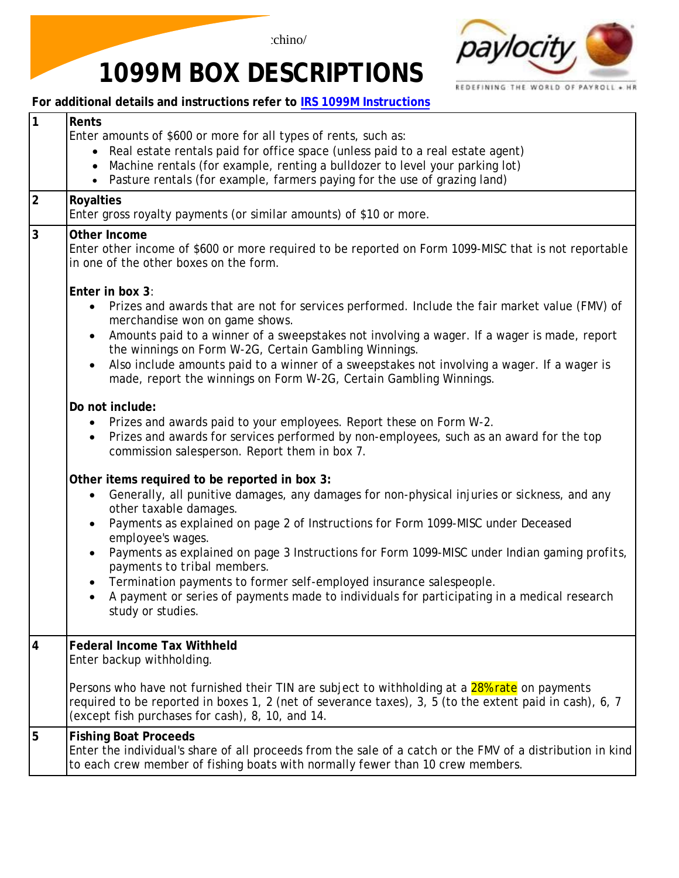



## **1099M BOX DESCRIPTIONS**

**For additional details and instructions refer to IRS 1099M [Instructions](http://www.irs.gov/instructions/i1099msc/ar02.html#d0e688)**

| 1              | Rents<br>Enter amounts of \$600 or more for all types of rents, such as:<br>Real estate rentals paid for office space (unless paid to a real estate agent)<br>$\bullet$<br>Machine rentals (for example, renting a bulldozer to level your parking lot)<br>$\bullet$<br>Pasture rentals (for example, farmers paying for the use of grazing land)                                                                                                                                                                                                                                                                       |
|----------------|-------------------------------------------------------------------------------------------------------------------------------------------------------------------------------------------------------------------------------------------------------------------------------------------------------------------------------------------------------------------------------------------------------------------------------------------------------------------------------------------------------------------------------------------------------------------------------------------------------------------------|
| $\overline{2}$ | <b>Royalties</b><br>Enter gross royalty payments (or similar amounts) of \$10 or more.                                                                                                                                                                                                                                                                                                                                                                                                                                                                                                                                  |
| 3              | Other Income<br>Enter other income of \$600 or more required to be reported on Form 1099-MISC that is not reportable<br>in one of the other boxes on the form.                                                                                                                                                                                                                                                                                                                                                                                                                                                          |
|                | Enter in box 3:<br>Prizes and awards that are not for services performed. Include the fair market value (FMV) of<br>$\bullet$<br>merchandise won on game shows.<br>Amounts paid to a winner of a sweepstakes not involving a wager. If a wager is made, report<br>$\bullet$<br>the winnings on Form W-2G, Certain Gambling Winnings.<br>Also include amounts paid to a winner of a sweepstakes not involving a wager. If a wager is<br>made, report the winnings on Form W-2G, Certain Gambling Winnings.                                                                                                               |
|                | Do not include:<br>Prizes and awards paid to your employees. Report these on Form W-2.<br>$\bullet$<br>Prizes and awards for services performed by non-employees, such as an award for the top<br>$\bullet$<br>commission salesperson. Report them in box 7.                                                                                                                                                                                                                                                                                                                                                            |
|                | Other items required to be reported in box 3:<br>Generally, all punitive damages, any damages for non-physical injuries or sickness, and any<br>other taxable damages.<br>Payments as explained on page 2 of Instructions for Form 1099-MISC under Deceased<br>employee's wages.<br>Payments as explained on page 3 Instructions for Form 1099-MISC under Indian gaming profits,<br>payments to tribal members.<br>Termination payments to former self-employed insurance salespeople.<br>A payment or series of payments made to individuals for participating in a medical research<br>$\bullet$<br>study or studies. |
| $\overline{4}$ | <b>Federal Income Tax Withheld</b><br>Enter backup withholding.                                                                                                                                                                                                                                                                                                                                                                                                                                                                                                                                                         |
|                | Persons who have not furnished their TIN are subject to withholding at a 28% rate on payments<br>required to be reported in boxes 1, 2 (net of severance taxes), 3, 5 (to the extent paid in cash), 6, 7<br>(except fish purchases for cash), 8, 10, and 14.                                                                                                                                                                                                                                                                                                                                                            |
| 5              | <b>Fishing Boat Proceeds</b><br>Enter the individual's share of all proceeds from the sale of a catch or the FMV of a distribution in kind<br>to each crew member of fishing boats with normally fewer than 10 crew members.                                                                                                                                                                                                                                                                                                                                                                                            |
|                |                                                                                                                                                                                                                                                                                                                                                                                                                                                                                                                                                                                                                         |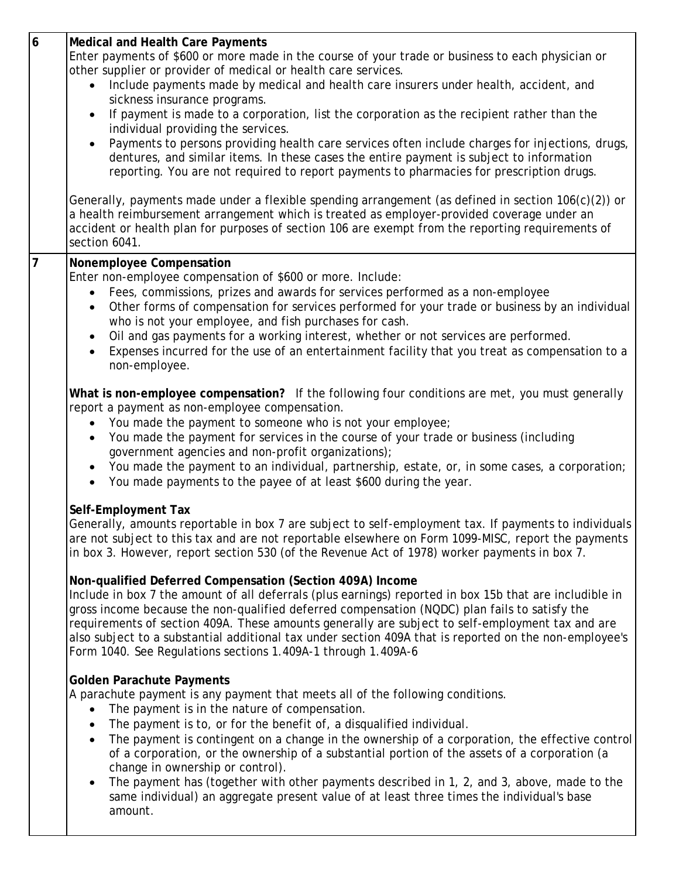| 6              | <b>Medical and Health Care Payments</b><br>Enter payments of \$600 or more made in the course of your trade or business to each physician or<br>other supplier or provider of medical or health care services.<br>Include payments made by medical and health care insurers under health, accident, and<br>$\bullet$<br>sickness insurance programs.<br>If payment is made to a corporation, list the corporation as the recipient rather than the<br>individual providing the services.<br>Payments to persons providing health care services often include charges for injections, drugs,<br>$\bullet$<br>dentures, and similar items. In these cases the entire payment is subject to information<br>reporting. You are not required to report payments to pharmacies for prescription drugs. |
|----------------|--------------------------------------------------------------------------------------------------------------------------------------------------------------------------------------------------------------------------------------------------------------------------------------------------------------------------------------------------------------------------------------------------------------------------------------------------------------------------------------------------------------------------------------------------------------------------------------------------------------------------------------------------------------------------------------------------------------------------------------------------------------------------------------------------|
|                | Generally, payments made under a flexible spending arrangement (as defined in section 106(c)(2)) or<br>a health reimbursement arrangement which is treated as employer-provided coverage under an<br>accident or health plan for purposes of section 106 are exempt from the reporting requirements of<br>section 6041.                                                                                                                                                                                                                                                                                                                                                                                                                                                                          |
| $\overline{7}$ | Nonemployee Compensation<br>Enter non-employee compensation of \$600 or more. Include:<br>Fees, commissions, prizes and awards for services performed as a non-employee<br>Other forms of compensation for services performed for your trade or business by an individual<br>$\bullet$<br>who is not your employee, and fish purchases for cash.<br>Oil and gas payments for a working interest, whether or not services are performed.<br>$\bullet$<br>Expenses incurred for the use of an entertainment facility that you treat as compensation to a<br>non-employee.                                                                                                                                                                                                                          |
|                | What is non-employee compensation? If the following four conditions are met, you must generally<br>report a payment as non-employee compensation.<br>You made the payment to someone who is not your employee;<br>You made the payment for services in the course of your trade or business (including<br>$\bullet$<br>government agencies and non-profit organizations);<br>You made the payment to an individual, partnership, estate, or, in some cases, a corporation;<br>You made payments to the payee of at least \$600 during the year.                                                                                                                                                                                                                                                  |
|                | Self-Employment Tax<br>Generally, amounts reportable in box 7 are subject to self-employment tax. If payments to individuals<br>are not subject to this tax and are not reportable elsewhere on Form 1099-MISC, report the payments<br>in box 3. However, report section 530 (of the Revenue Act of 1978) worker payments in box 7.                                                                                                                                                                                                                                                                                                                                                                                                                                                              |
|                | Non-qualified Deferred Compensation (Section 409A) Income<br>Include in box 7 the amount of all deferrals (plus earnings) reported in box 15b that are includible in<br>gross income because the non-qualified deferred compensation (NQDC) plan fails to satisfy the<br>requirements of section 409A. These amounts generally are subject to self-employment tax and are<br>also subject to a substantial additional tax under section 409A that is reported on the non-employee's<br>Form 1040. See Regulations sections 1.409A-1 through 1.409A-6                                                                                                                                                                                                                                             |
|                | <b>Golden Parachute Payments</b><br>A parachute payment is any payment that meets all of the following conditions.<br>The payment is in the nature of compensation.<br>$\bullet$<br>The payment is to, or for the benefit of, a disqualified individual.<br>$\bullet$<br>The payment is contingent on a change in the ownership of a corporation, the effective control<br>$\bullet$<br>of a corporation, or the ownership of a substantial portion of the assets of a corporation (a<br>change in ownership or control).<br>The payment has (together with other payments described in 1, 2, and 3, above, made to the<br>$\bullet$<br>same individual) an aggregate present value of at least three times the individual's base<br>amount.                                                     |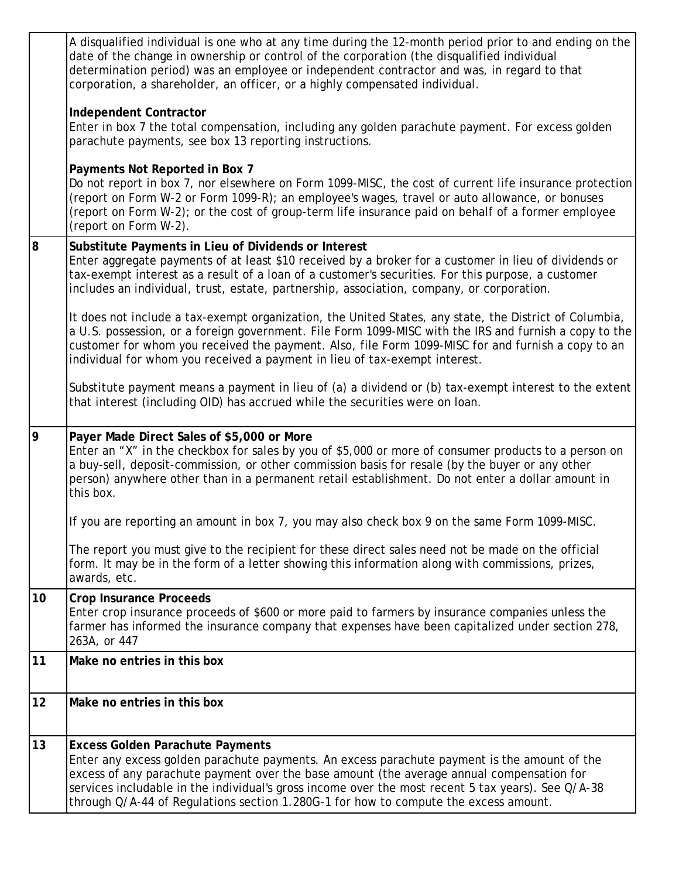|    | A disqualified individual is one who at any time during the 12-month period prior to and ending on the<br>date of the change in ownership or control of the corporation (the disqualified individual<br>determination period) was an employee or independent contractor and was, in regard to that<br>corporation, a shareholder, an officer, or a highly compensated individual.                                                  |
|----|------------------------------------------------------------------------------------------------------------------------------------------------------------------------------------------------------------------------------------------------------------------------------------------------------------------------------------------------------------------------------------------------------------------------------------|
|    | <b>Independent Contractor</b><br>Enter in box 7 the total compensation, including any golden parachute payment. For excess golden<br>parachute payments, see box 13 reporting instructions.                                                                                                                                                                                                                                        |
|    | Payments Not Reported in Box 7<br>Do not report in box 7, nor elsewhere on Form 1099-MISC, the cost of current life insurance protection<br>(report on Form W-2 or Form 1099-R); an employee's wages, travel or auto allowance, or bonuses<br>(report on Form W-2); or the cost of group-term life insurance paid on behalf of a former employee<br>(report on Form W-2).                                                          |
| 8  | Substitute Payments in Lieu of Dividends or Interest<br>Enter aggregate payments of at least \$10 received by a broker for a customer in lieu of dividends or<br>tax-exempt interest as a result of a loan of a customer's securities. For this purpose, a customer<br>includes an individual, trust, estate, partnership, association, company, or corporation.                                                                   |
|    | It does not include a tax-exempt organization, the United States, any state, the District of Columbia,<br>a U.S. possession, or a foreign government. File Form 1099-MISC with the IRS and furnish a copy to the<br>customer for whom you received the payment. Also, file Form 1099-MISC for and furnish a copy to an<br>individual for whom you received a payment in lieu of tax-exempt interest.                               |
|    | Substitute payment means a payment in lieu of (a) a dividend or (b) tax-exempt interest to the extent<br>that interest (including OID) has accrued while the securities were on loan.                                                                                                                                                                                                                                              |
| 9  | Payer Made Direct Sales of \$5,000 or More<br>Enter an "X" in the checkbox for sales by you of \$5,000 or more of consumer products to a person on<br>a buy-sell, deposit-commission, or other commission basis for resale (by the buyer or any other<br>person) anywhere other than in a permanent retail establishment. Do not enter a dollar amount in<br>this box.                                                             |
|    | If you are reporting an amount in box 7, you may also check box 9 on the same Form 1099-MISC.                                                                                                                                                                                                                                                                                                                                      |
|    | The report you must give to the recipient for these direct sales need not be made on the official<br>form. It may be in the form of a letter showing this information along with commissions, prizes,<br>awards, etc.                                                                                                                                                                                                              |
| 10 | <b>Crop Insurance Proceeds</b><br>Enter crop insurance proceeds of \$600 or more paid to farmers by insurance companies unless the<br>farmer has informed the insurance company that expenses have been capitalized under section 278,<br>263A, or 447                                                                                                                                                                             |
| 11 | Make no entries in this box                                                                                                                                                                                                                                                                                                                                                                                                        |
| 12 | Make no entries in this box                                                                                                                                                                                                                                                                                                                                                                                                        |
| 13 | <b>Excess Golden Parachute Payments</b><br>Enter any excess golden parachute payments. An excess parachute payment is the amount of the<br>excess of any parachute payment over the base amount (the average annual compensation for<br>services includable in the individual's gross income over the most recent 5 tax years). See Q/A-38<br>through Q/A-44 of Regulations section 1.280G-1 for how to compute the excess amount. |